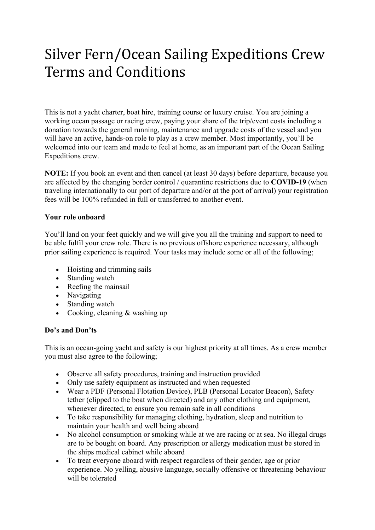# Silver Fern/Ocean Sailing Expeditions Crew Terms and Conditions

This is not a yacht charter, boat hire, training course or luxury cruise. You are joining a working ocean passage or racing crew, paying your share of the trip/event costs including a donation towards the general running, maintenance and upgrade costs of the vessel and you will have an active, hands-on role to play as a crew member. Most importantly, you'll be welcomed into our team and made to feel at home, as an important part of the Ocean Sailing Expeditions crew.

**NOTE:** If you book an event and then cancel (at least 30 days) before departure, because you are affected by the changing border control / quarantine restrictions due to **COVID-19** (when traveling internationally to our port of departure and/or at the port of arrival) your registration fees will be 100% refunded in full or transferred to another event.

#### **Your role onboard**

You'll land on your feet quickly and we will give you all the training and support to need to be able fulfil your crew role. There is no previous offshore experience necessary, although prior sailing experience is required. Your tasks may include some or all of the following;

- Hoisting and trimming sails
- Standing watch
- Reefing the mainsail
- Navigating
- Standing watch
- Cooking, cleaning & washing up

#### **Do's and Don'ts**

This is an ocean-going yacht and safety is our highest priority at all times. As a crew member you must also agree to the following;

- Observe all safety procedures, training and instruction provided
- Only use safety equipment as instructed and when requested
- Wear a PDF (Personal Flotation Device), PLB (Personal Locator Beacon), Safety tether (clipped to the boat when directed) and any other clothing and equipment, whenever directed, to ensure you remain safe in all conditions
- To take responsibility for managing clothing, hydration, sleep and nutrition to maintain your health and well being aboard
- No alcohol consumption or smoking while at we are racing or at sea. No illegal drugs are to be bought on board. Any prescription or allergy medication must be stored in the ships medical cabinet while aboard
- To treat everyone aboard with respect regardless of their gender, age or prior experience. No yelling, abusive language, socially offensive or threatening behaviour will be tolerated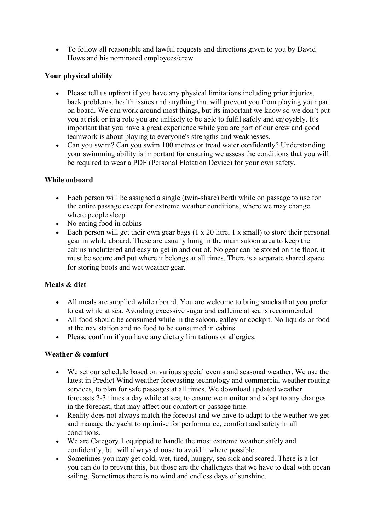• To follow all reasonable and lawful requests and directions given to you by David Hows and his nominated employees/crew

# **Your physical ability**

- Please tell us upfront if you have any physical limitations including prior injuries, back problems, health issues and anything that will prevent you from playing your part on board. We can work around most things, but its important we know so we don't put you at risk or in a role you are unlikely to be able to fulfil safely and enjoyably. It's important that you have a great experience while you are part of our crew and good teamwork is about playing to everyone's strengths and weaknesses.
- Can you swim? Can you swim 100 metres or tread water confidently? Understanding your swimming ability is important for ensuring we assess the conditions that you will be required to wear a PDF (Personal Flotation Device) for your own safety.

# **While onboard**

- Each person will be assigned a single (twin-share) berth while on passage to use for the entire passage except for extreme weather conditions, where we may change where people sleep
- No eating food in cabins
- Each person will get their own gear bags  $(1 \times 20)$  litre, 1 x small) to store their personal gear in while aboard. These are usually hung in the main saloon area to keep the cabins uncluttered and easy to get in and out of. No gear can be stored on the floor, it must be secure and put where it belongs at all times. There is a separate shared space for storing boots and wet weather gear.

### **Meals & diet**

- All meals are supplied while aboard. You are welcome to bring snacks that you prefer to eat while at sea. Avoiding excessive sugar and caffeine at sea is recommended
- All food should be consumed while in the saloon, galley or cockpit. No liquids or food at the nav station and no food to be consumed in cabins
- Please confirm if you have any dietary limitations or allergies.

### **Weather & comfort**

- We set our schedule based on various special events and seasonal weather. We use the latest in Predict Wind weather forecasting technology and commercial weather routing services, to plan for safe passages at all times. We download updated weather forecasts 2-3 times a day while at sea, to ensure we monitor and adapt to any changes in the forecast, that may affect our comfort or passage time.
- Reality does not always match the forecast and we have to adapt to the weather we get and manage the yacht to optimise for performance, comfort and safety in all conditions.
- We are Category 1 equipped to handle the most extreme weather safely and confidently, but will always choose to avoid it where possible.
- Sometimes you may get cold, wet, tired, hungry, sea sick and scared. There is a lot you can do to prevent this, but those are the challenges that we have to deal with ocean sailing. Sometimes there is no wind and endless days of sunshine.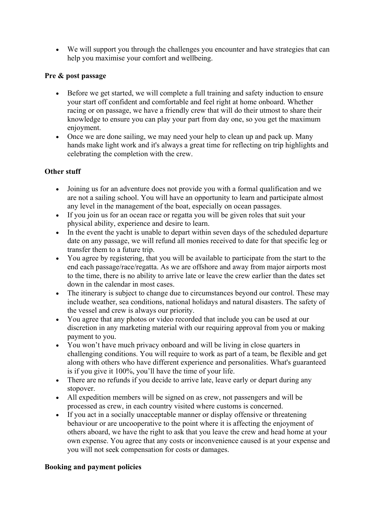• We will support you through the challenges you encounter and have strategies that can help you maximise your comfort and wellbeing.

## **Pre & post passage**

- Before we get started, we will complete a full training and safety induction to ensure your start off confident and comfortable and feel right at home onboard. Whether racing or on passage, we have a friendly crew that will do their utmost to share their knowledge to ensure you can play your part from day one, so you get the maximum enjoyment.
- Once we are done sailing, we may need your help to clean up and pack up. Many hands make light work and it's always a great time for reflecting on trip highlights and celebrating the completion with the crew.

# **Other stuff**

- Joining us for an adventure does not provide you with a formal qualification and we are not a sailing school. You will have an opportunity to learn and participate almost any level in the management of the boat, especially on ocean passages.
- If you join us for an ocean race or regatta you will be given roles that suit your physical ability, experience and desire to learn.
- In the event the yacht is unable to depart within seven days of the scheduled departure date on any passage, we will refund all monies received to date for that specific leg or transfer them to a future trip.
- You agree by registering, that you will be available to participate from the start to the end each passage/race/regatta. As we are offshore and away from major airports most to the time, there is no ability to arrive late or leave the crew earlier than the dates set down in the calendar in most cases.
- The itinerary is subject to change due to circumstances beyond our control. These may include weather, sea conditions, national holidays and natural disasters. The safety of the vessel and crew is always our priority.
- You agree that any photos or video recorded that include you can be used at our discretion in any marketing material with our requiring approval from you or making payment to you.
- You won't have much privacy onboard and will be living in close quarters in challenging conditions. You will require to work as part of a team, be flexible and get along with others who have different experience and personalities. What's guaranteed is if you give it 100%, you'll have the time of your life.
- There are no refunds if you decide to arrive late, leave early or depart during any stopover.
- All expedition members will be signed on as crew, not passengers and will be processed as crew, in each country visited where customs is concerned.
- If you act in a socially unacceptable manner or display offensive or threatening behaviour or are uncooperative to the point where it is affecting the enjoyment of others aboard, we have the right to ask that you leave the crew and head home at your own expense. You agree that any costs or inconvenience caused is at your expense and you will not seek compensation for costs or damages.

### **Booking and payment policies**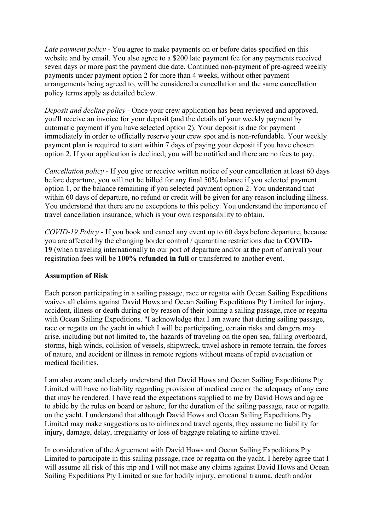*Late payment policy* - You agree to make payments on or before dates specified on this website and by email. You also agree to a \$200 late payment fee for any payments received seven days or more past the payment due date. Continued non-payment of pre-agreed weekly payments under payment option 2 for more than 4 weeks, without other payment arrangements being agreed to, will be considered a cancellation and the same cancellation policy terms apply as detailed below.

*Deposit and decline policy* - Once your crew application has been reviewed and approved, you'll receive an invoice for your deposit (and the details of your weekly payment by automatic payment if you have selected option 2). Your deposit is due for payment immediately in order to officially reserve your crew spot and is non-refundable. Your weekly payment plan is required to start within 7 days of paying your deposit if you have chosen option 2. If your application is declined, you will be notified and there are no fees to pay.

*Cancellation policy* - If you give or receive written notice of your cancellation at least 60 days before departure, you will not be billed for any final 50% balance if you selected payment option 1, or the balance remaining if you selected payment option 2. You understand that within 60 days of departure, no refund or credit will be given for any reason including illness. You understand that there are no exceptions to this policy. You understand the importance of travel cancellation insurance, which is your own responsibility to obtain.

*COVID-19 Policy* - If you book and cancel any event up to 60 days before departure, because you are affected by the changing border control / quarantine restrictions due to **COVID-19** (when traveling internationally to our port of departure and/or at the port of arrival) your registration fees will be **100% refunded in full** or transferred to another event.

### **Assumption of Risk**

Each person participating in a sailing passage, race or regatta with Ocean Sailing Expeditions waives all claims against David Hows and Ocean Sailing Expeditions Pty Limited for injury, accident, illness or death during or by reason of their joining a sailing passage, race or regatta with Ocean Sailing Expeditions. "I acknowledge that I am aware that during sailing passage, race or regatta on the yacht in which I will be participating, certain risks and dangers may arise, including but not limited to, the hazards of traveling on the open sea, falling overboard, storms, high winds, collision of vessels, shipwreck, travel ashore in remote terrain, the forces of nature, and accident or illness in remote regions without means of rapid evacuation or medical facilities.

I am also aware and clearly understand that David Hows and Ocean Sailing Expeditions Pty Limited will have no liability regarding provision of medical care or the adequacy of any care that may be rendered. I have read the expectations supplied to me by David Hows and agree to abide by the rules on board or ashore, for the duration of the sailing passage, race or regatta on the yacht. I understand that although David Hows and Ocean Sailing Expeditions Pty Limited may make suggestions as to airlines and travel agents, they assume no liability for injury, damage, delay, irregularity or loss of baggage relating to airline travel.

In consideration of the Agreement with David Hows and Ocean Sailing Expeditions Pty Limited to participate in this sailing passage, race or regatta on the yacht, I hereby agree that I will assume all risk of this trip and I will not make any claims against David Hows and Ocean Sailing Expeditions Pty Limited or sue for bodily injury, emotional trauma, death and/or